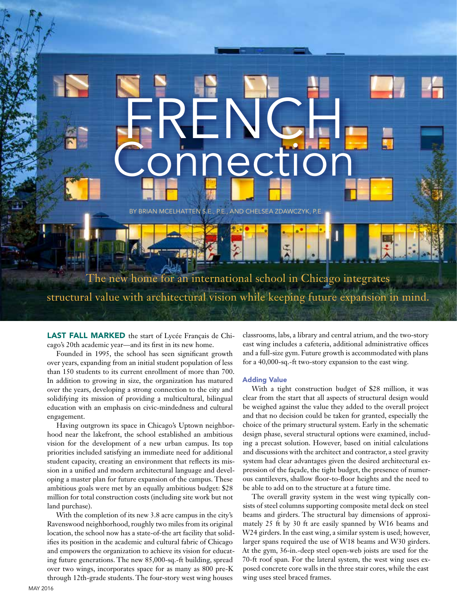## **FRENCH** Connection

BY BRIAN MCELHATTEN S.E., P.E., AND CHELSEA ZDAWCZYK, P.E.

The new home for an international school in Chicago integrates structural value with architectural vision while keeping future expansion in mind.

LAST FALL MARKED the start of Lycée Français de Chicago's 20th academic year—and its first in its new home.

Founded in 1995, the school has seen significant growth over years, expanding from an initial student population of less than 150 students to its current enrollment of more than 700. In addition to growing in size, the organization has matured over the years, developing a strong connection to the city and solidifying its mission of providing a multicultural, bilingual education with an emphasis on civic-mindedness and cultural engagement.

Having outgrown its space in Chicago's Uptown neighborhood near the lakefront, the school established an ambitious vision for the development of a new urban campus. Its top priorities included satisfying an immediate need for additional student capacity, creating an environment that reflects its mission in a unified and modern architectural language and developing a master plan for future expansion of the campus. These ambitious goals were met by an equally ambitious budget: \$28 million for total construction costs (including site work but not land purchase).

With the completion of its new 3.8 acre campus in the city's Ravenswood neighborhood, roughly two miles from its original location, the school now has a state-of-the art facility that solidifies its position in the academic and cultural fabric of Chicago and empowers the organization to achieve its vision for educating future generations. The new 85,000-sq.-ft building, spread over two wings, incorporates space for as many as 800 pre-K through 12th-grade students. The four-story west wing houses

classrooms, labs, a library and central atrium, and the two-story east wing includes a cafeteria, additional administrative offices and a full-size gym. Future growth is accommodated with plans for a 40,000-sq.-ft two-story expansion to the east wing.

## Adding Value

With a tight construction budget of \$28 million, it was clear from the start that all aspects of structural design would be weighed against the value they added to the overall project and that no decision could be taken for granted, especially the choice of the primary structural system. Early in the schematic design phase, several structural options were examined, including a precast solution. However, based on initial calculations and discussions with the architect and contractor, a steel gravity system had clear advantages given the desired architectural expression of the façade, the tight budget, the presence of numerous cantilevers, shallow floor-to-floor heights and the need to be able to add on to the structure at a future time.

The overall gravity system in the west wing typically consists of steel columns supporting composite metal deck on steel beams and girders. The structural bay dimensions of approximately 25 ft by 30 ft are easily spanned by W16 beams and W24 girders. In the east wing, a similar system is used; however, larger spans required the use of W18 beams and W30 girders. At the gym, 36-in.-deep steel open-web joists are used for the 70-ft roof span. For the lateral system, the west wing uses exposed concrete core walls in the three stair cores, while the east wing uses steel braced frames.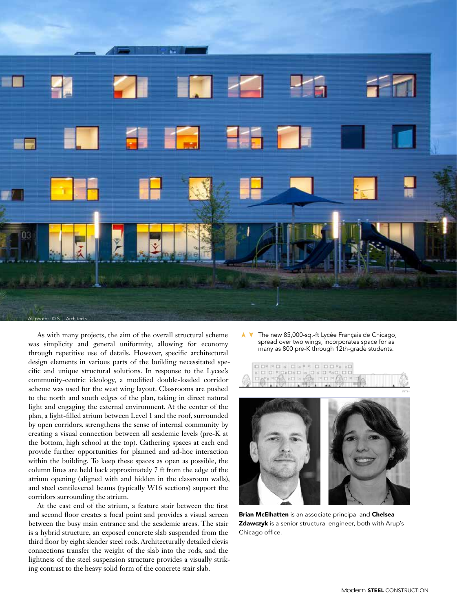

As with many projects, the aim of the overall structural scheme was simplicity and general uniformity, allowing for economy through repetitive use of details. However, specific architectural design elements in various parts of the building necessitated specific and unique structural solutions. In response to the Lycee's community-centric ideology, a modified double-loaded corridor scheme was used for the west wing layout. Classrooms are pushed to the north and south edges of the plan, taking in direct natural light and engaging the external environment. At the center of the plan, a light-filled atrium between Level 1 and the roof, surrounded by open corridors, strengthens the sense of internal community by creating a visual connection between all academic levels (pre-K at the bottom, high school at the top). Gathering spaces at each end provide further opportunities for planned and ad-hoc interaction within the building. To keep these spaces as open as possible, the column lines are held back approximately 7 ft from the edge of the atrium opening (aligned with and hidden in the classroom walls), and steel cantilevered beams (typically W16 sections) support the corridors surrounding the atrium.

At the east end of the atrium, a feature stair between the first and second floor creates a focal point and provides a visual screen between the busy main entrance and the academic areas. The stair is a hybrid structure, an exposed concrete slab suspended from the third floor by eight slender steel rods. Architecturally detailed clevis connections transfer the weight of the slab into the rods, and the lightness of the steel suspension structure provides a visually striking contrast to the heavy solid form of the concrete stair slab.

➤➤ The new 85,000-sq.-ft Lycée Français de Chicago, spread over two wings, incorporates space for as many as 800 pre-K through 12th-grade students.



Brian McElhatten is an associate principal and Chelsea Zdawczyk is a senior structural engineer, both with Arup's Chicago office.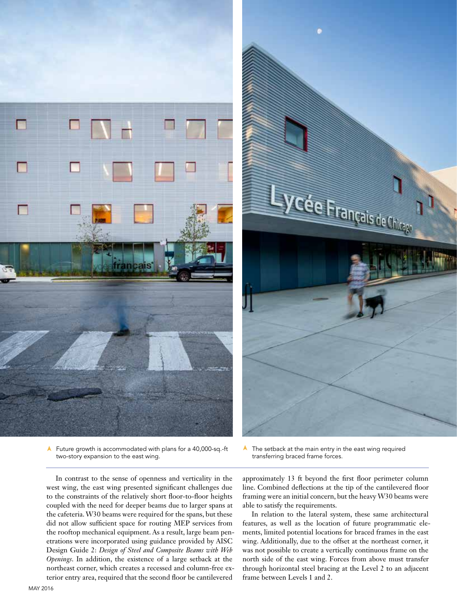

➤ Future growth is accommodated with plans for a 40,000-sq.-ft two-story expansion to the east wing.



➤The setback at the main entry in the east wing required transferring braced frame forces.

In contrast to the sense of openness and verticality in the west wing, the east wing presented significant challenges due to the constraints of the relatively short floor-to-floor heights coupled with the need for deeper beams due to larger spans at the cafeteria. W30 beams were required for the spans, but these did not allow sufficient space for routing MEP services from the rooftop mechanical equipment. As a result, large beam penetrations were incorporated using guidance provided by AISC Design Guide 2: *Design of Steel and Composite Beams with Web Openings*. In addition, the existence of a large setback at the northeast corner, which creates a recessed and column-free exterior entry area, required that the second floor be cantilevered

approximately 13 ft beyond the first floor perimeter column line. Combined deflections at the tip of the cantilevered floor framing were an initial concern, but the heavy W30 beams were able to satisfy the requirements.

In relation to the lateral system, these same architectural features, as well as the location of future programmatic elements, limited potential locations for braced frames in the east wing. Additionally, due to the offset at the northeast corner, it was not possible to create a vertically continuous frame on the north side of the east wing. Forces from above must transfer through horizontal steel bracing at the Level 2 to an adjacent frame between Levels 1 and 2.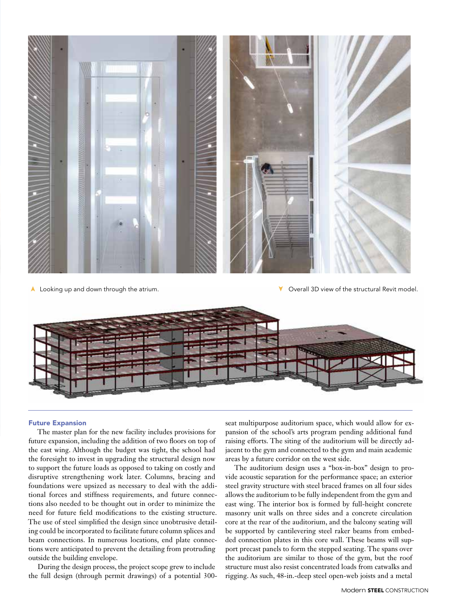

➤ Looking up and down through the atrium.

➤ Overall 3D view of the structural Revit model.



## Future Expansion

The master plan for the new facility includes provisions for future expansion, including the addition of two floors on top of the east wing. Although the budget was tight, the school had the foresight to invest in upgrading the structural design now to support the future loads as opposed to taking on costly and disruptive strengthening work later. Columns, bracing and foundations were upsized as necessary to deal with the additional forces and stiffness requirements, and future connections also needed to be thought out in order to minimize the need for future field modifications to the existing structure. The use of steel simplified the design since unobtrusive detailing could be incorporated to facilitate future column splices and beam connections. In numerous locations, end plate connections were anticipated to prevent the detailing from protruding outside the building envelope.

During the design process, the project scope grew to include the full design (through permit drawings) of a potential 300seat multipurpose auditorium space, which would allow for expansion of the school's arts program pending additional fund raising efforts. The siting of the auditorium will be directly adjacent to the gym and connected to the gym and main academic areas by a future corridor on the west side.

The auditorium design uses a "box-in-box" design to provide acoustic separation for the performance space; an exterior steel gravity structure with steel braced frames on all four sides allows the auditorium to be fully independent from the gym and east wing. The interior box is formed by full-height concrete masonry unit walls on three sides and a concrete circulation core at the rear of the auditorium, and the balcony seating will be supported by cantilevering steel raker beams from embedded connection plates in this core wall. These beams will support precast panels to form the stepped seating. The spans over the auditorium are similar to those of the gym, but the roof structure must also resist concentrated loads from catwalks and rigging. As such, 48-in.-deep steel open-web joists and a metal